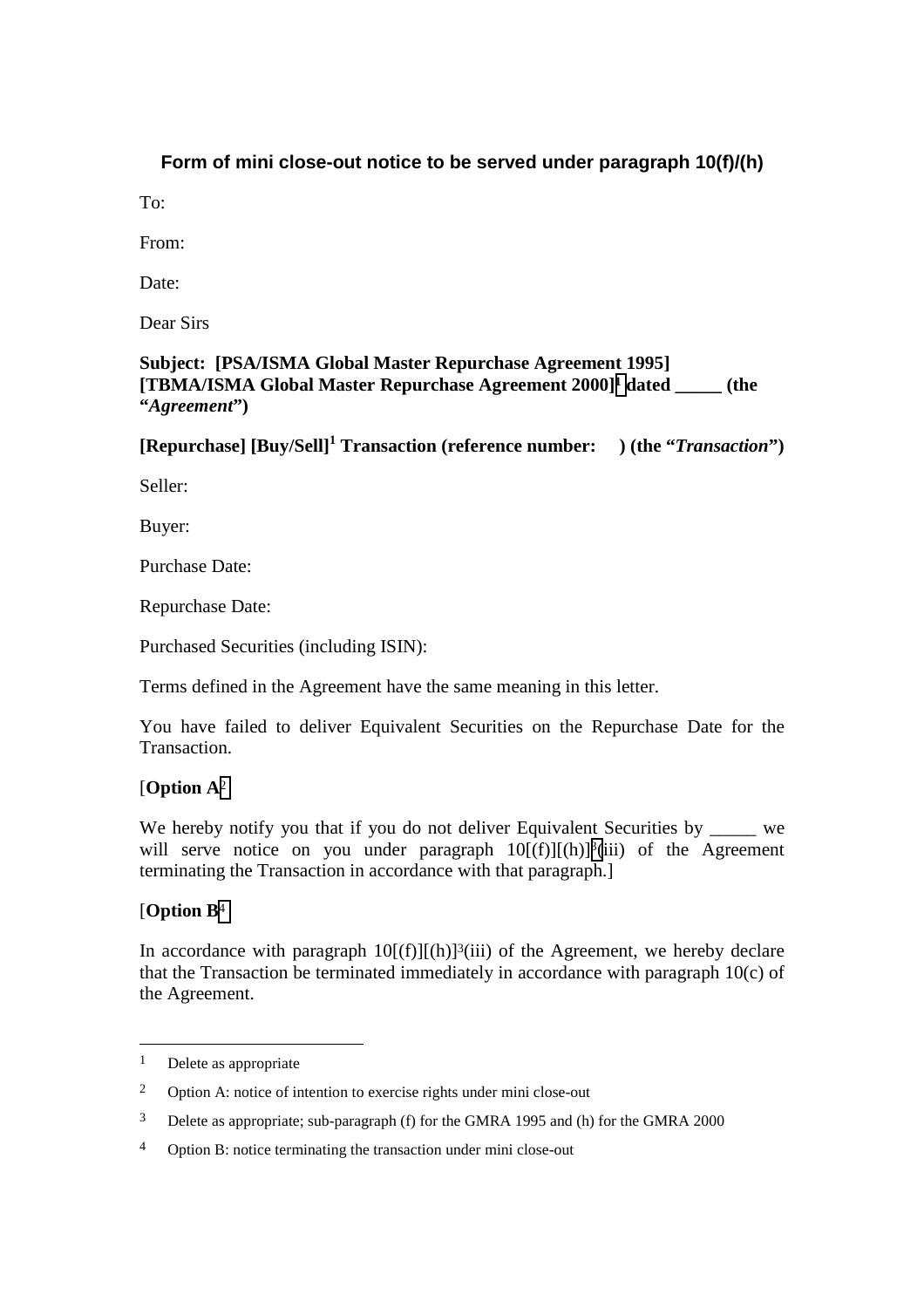## **Form of mini close-out notice to be served under paragraph 10(f)/(h)**

 $To^{\dagger}$ 

From:

Date:

Dear Sirs

**Subject: [PSA/ISMA Global Master Repurchase Agreement 1995] [TBMA/ISMA Global Master Repurchase Agreement 2000]1 dated \_\_\_\_\_ (the "***Agreement***")** 

**[Repurchase]** [Buy/Sell]<sup>1</sup> Transaction (reference number: ) (the "*Transaction*")

Seller:

Buyer:

Purchase Date:

Repurchase Date:

Purchased Securities (including ISIN):

Terms defined in the Agreement have the same meaning in this letter.

You have failed to deliver Equivalent Securities on the Repurchase Date for the Transaction.

## [**Option A**<sup>2</sup>

We hereby notify you that if you do not deliver Equivalent Securities by we will serve notice on you under paragraph  $10[(f)][(h)]^3(iii)$  of the Agreement terminating the Transaction in accordance with that paragraph.]

## [**Option B**<sup>4</sup>

l

In accordance with paragraph  $10[(f)][(h)]^3(iii)$  of the Agreement, we hereby declare that the Transaction be terminated immediately in accordance with paragraph 10(c) of the Agreement.

 $1$  Delete as appropriate

<sup>2</sup> Option A: notice of intention to exercise rights under mini close-out

<sup>3</sup> Delete as appropriate; sub-paragraph (f) for the GMRA 1995 and (h) for the GMRA 2000

<sup>4</sup> Option B: notice terminating the transaction under mini close-out